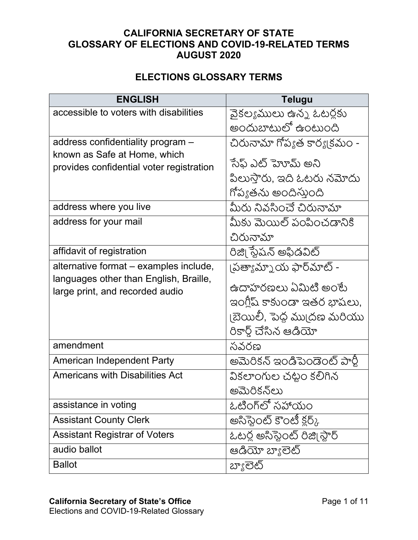## **CALIFORNIA SECRETARY OF STATE GLOSSARY OF ELECTIONS AND COVID-19-RELATED TERMS AUGUST 2020**

## **ELECTIONS GLOSSARY TERMS**

| <b>ENGLISH</b>                           | <b>Telugu</b>                        |
|------------------------------------------|--------------------------------------|
| accessible to voters with disabilities   | వైకల్యములు ఉన్న ఓటర్లకు              |
|                                          | అందుబాటులో ఉంటుంది                   |
| address confidentiality program -        | చిరునామా గోప్యత కార్య(కమం -          |
| known as Safe at Home, which             | ేసేఫ్ ఎట్ హెూమ్ అని                  |
| provides confidential voter registration | పిలుస్తారు, ఇది ఓటరు నమోదు           |
|                                          | గోప్యతను అందిస్తుంది                 |
|                                          |                                      |
| address where you live                   | మీరు నివసించే చిరునామా               |
| address for your mail                    | మీకు మెయిల్ పంపించడానికి             |
|                                          | చిరునామా                             |
| affidavit of registration                | రిజి౹ స్టేషన్ అఫిడవిట్               |
| alternative format - examples include,   | పత్యామ్నాయ ఫార్మాట్ -                |
| languages other than English, Braille,   | ఉదాహరణలు ఏమిటి అంటే                  |
| large print, and recorded audio          |                                      |
|                                          | ఇంగ్లీష్ కాకుండా ఇతర భాషలు,          |
|                                          | ।బెయిలీ, పెద్ద ము(దణ మరియు           |
|                                          | రికార్డ్ చేసిన ఆడియో                 |
| amendment                                | సవరణ                                 |
| <b>American Independent Party</b>        | అమెరికన్ ఇండిపెండెంట్ పార్టీ         |
| <b>Americans with Disabilities Act</b>   | వికలాంగుల చట్టం కలిగిన               |
|                                          | అమెరికన్ౖలు                          |
| assistance in voting                     | ఓటింగ్లో సహాయం                       |
| <b>Assistant County Clerk</b>            | అసిస్టెంట్ కౌంటీ క్లర్ <sub>గ్</sub> |
| <b>Assistant Registrar of Voters</b>     | ఓటర్ల అసిఫ్టెంట్ రిజి్మిస్టార్       |
| audio ballot                             | ఆడియో బ్యాలెట్                       |
| <b>Ballot</b>                            | బ్యాలెట్                             |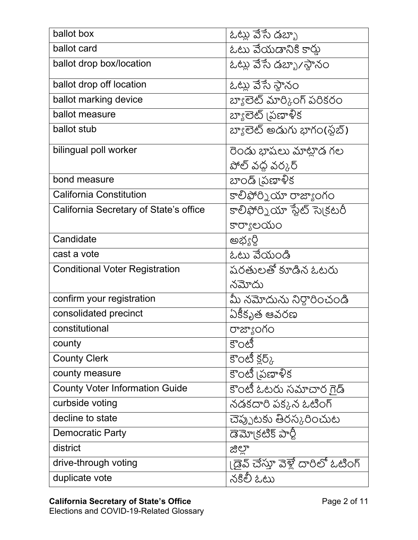| ballot box                             | ఓట్లు వేసే డబ్బా                   |
|----------------------------------------|------------------------------------|
| ballot card                            | ఓటు వేయడానికి కార్తు               |
| ballot drop box/location               | ఓట్లు వేసే డబ్బా/స్థానం            |
| ballot drop off location               | ఓట్లు వేసే స్థానం                  |
| ballot marking device                  | బ్యాలెట్ మార్కింగ్ పరికరం          |
| ballot measure                         | బ్యాలెట్ (పణాళీక                   |
| ballot stub                            | బ్యాలెట్ అడుగు భాగం(ఫ్లబ్)         |
| bilingual poll worker                  | రెండు భాషలు మాట్లాడ గల             |
|                                        | పోల్ వధ వర్కర్                     |
| bond measure                           | బాండ్ (పణాళీక                      |
| <b>California Constitution</b>         | కాలిఫోర్నియా రాజ్యాంగం             |
| California Secretary of State's office | కాలిఫోర్నియా స్టేట్ సె(కటరీ        |
|                                        | కార్యాలయం                          |
| Candidate                              | అభ్యర్థి                           |
| cast a vote                            | ఓటు వేయండి                         |
| <b>Conditional Voter Registration</b>  | షరతులతో కూడిన ఓటరు                 |
|                                        | నమోదు                              |
| confirm your registration              | మీ నమోదును నిర్థారించండి           |
| consolidated precinct                  | ఏకికృత ఆవరణ                        |
| constitutional                         | రాజ్యాంగం                          |
| county                                 | కౌంటి                              |
| <b>County Clerk</b>                    | కౌంటీ క్లర్క్                      |
| county measure                         | కౌంటీ (పణాళీక                      |
| <b>County Voter Information Guide</b>  | కౌంటీ ఓటరు సమాచార గైడ్             |
| curbside voting                        | నడకదారి పక్కన ఓటింగ్               |
| decline to state                       | చెప్పుటకు తిరస్కరించుట             |
| <b>Democratic Party</b>                | డెమో(కటిక్ పార్టీ                  |
| district                               | జిల్లా                             |
| drive-through voting                   | । డైవ్ చేస్తూ వెళ్లే దారిలో ఓటింగ్ |
| duplicate vote                         | నకిలీ ఓటు                          |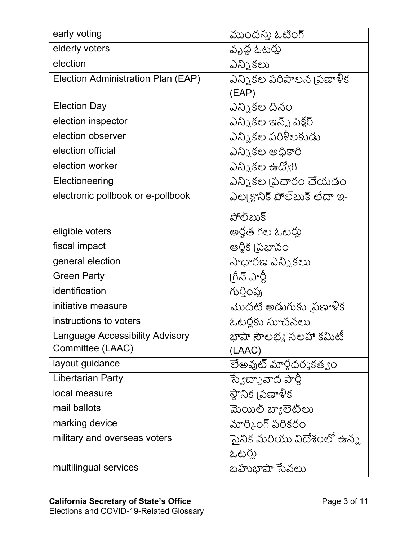| early voting                           | ముందస్తు ఓటింగ్               |
|----------------------------------------|-------------------------------|
| elderly voters                         | వృద్ధ ఓటర్లు                  |
| election                               | ఎన్నికలు                      |
| Election Administration Plan (EAP)     | ఎన్నికల పరిపాలన (పణాళీక       |
|                                        | (EAP)                         |
| <b>Election Day</b>                    | ఎన్నికల దినం                  |
| election inspector                     | ఎన్నికల ఇన్స్ట్ పెక్టర్       |
| election observer                      | ఎన్నికల పరిశీలకుడు            |
| election official                      | ఎన్నికల అధికారి               |
| election worker                        | ఎన్నికల ఉద్యోగి               |
| Electioneering                         | ఎన్నికల (పచారం చేయడం          |
| electronic pollbook or e-pollbook      | ఎల్క్యానిక్ పోల్ బుక్ లేదా ఇ- |
|                                        | పోల్ఋక్                       |
| eligible voters                        | అర్హత గల ఓటర్లు               |
| fiscal impact                          | ఆర్థిక (పభావం                 |
| general election                       | సాధారణ ఎన్నికలు               |
| <b>Green Party</b>                     | ।గీన్ పార్టీ                  |
| identification                         | గుర్తింపు                     |
| initiative measure                     | మొదటి అడుగుకు [పణాళిక         |
| instructions to voters                 | ఓటర్లకు సూచనలు                |
| <b>Language Accessibility Advisory</b> | భాషా సౌలభ్య సలహా కమిటీ        |
| Committee (LAAC)                       | (LAAC)                        |
| layout guidance                        | లేఅవుట్ మార్గదర్శకత్వం        |
| <b>Libertarian Party</b>               | స్వేచ్ఛావాద పార్టీ            |
| local measure                          | స్థానిక (పణాళీక               |
| mail ballots                           | మెయిల్ బ్యాలెట్లు             |
| marking device                         | మార్కింగ్ పరికరం              |
| military and overseas voters           | ెసైనిక మరియు విదేశంలో ఉన్న    |
|                                        | ఓటర్లు                        |
| multilingual services                  | బహుభాషా సేవలు                 |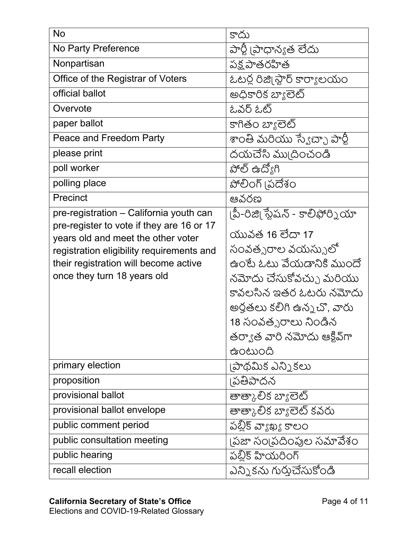| <b>No</b>                                                                          | కాదు                            |
|------------------------------------------------------------------------------------|---------------------------------|
| No Party Preference                                                                | పార్టీ [పాధాన్యత లేదు           |
| Nonpartisan                                                                        | <u>పక్ష పాతరహిత</u>             |
| Office of the Registrar of Voters                                                  | ఓటర్ల రిజి్గ స్టార్ కార్యాలయం   |
| official ballot                                                                    | అధికారిక బ్యాలెట్               |
| Overvote                                                                           | ఓవర్ ఓట్                        |
| paper ballot                                                                       | కాగితం బ్యాలెట్                 |
| Peace and Freedom Party                                                            | శాంతి మరియు స్వేచ్ఛా పార్టీ     |
| please print                                                                       | దయచేసి ము(దించండి               |
| poll worker                                                                        | పోల్ ఉద్యోగి                    |
| polling place                                                                      | పోలింగ్ (పదేశం                  |
| Precinct                                                                           | ఆవరణ                            |
| pre-registration - California youth can                                            | పీ-రిజి  స్టేషన్ - కాలిఫోర్నియా |
| pre-register to vote if they are 16 or 17                                          | యువత 16 లేదా 17                 |
| years old and meet the other voter                                                 | సంవత్సరాల వయస్సులో              |
| registration eligibility requirements and<br>their registration will become active | ఉంటే ఓటు వేయడానికి ముందే        |
| once they turn 18 years old                                                        | నమోదు చేసుకోవచ్చు మరియు         |
|                                                                                    | కావలసిన ఇతర ఓటరు నమోదు          |
|                                                                                    | అర్హతలు కలిగి ఉన్నచో, వారు      |
|                                                                                    | 18 సంవత్సరాలు నిండిన            |
|                                                                                    | తర్వాత వారి నమోదు ఆక్టివ్గా     |
|                                                                                    | ఉంటుంది                         |
| primary election                                                                   | పాథమిక ఎన్ని కలు                |
| proposition                                                                        | ౹పతిపాదన                        |
| provisional ballot                                                                 | తాత్కాలిక బ్యాలెట్              |
| provisional ballot envelope                                                        | తాత్కాలిక బ్యాలెట్ కవరు         |
| public comment period                                                              | పబ్లిక్ వ్యాఖ్య కాలం            |
| public consultation meeting                                                        | (పజా సం(పదింపుల సమావేశం         |
| public hearing                                                                     | పబ్లిక్ హియరింగ్                |
| recall election                                                                    | ఎన్నికను గుర్తుచేసుకోండి        |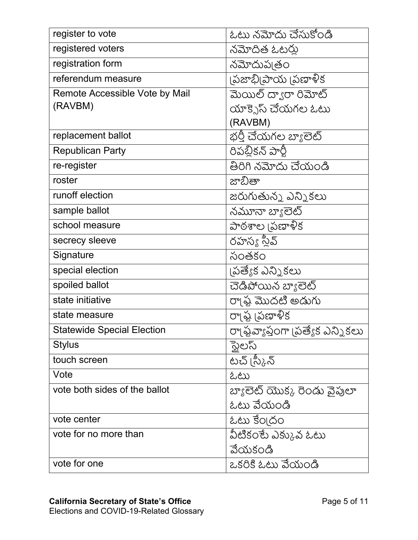| register to vote                  | ఓటు నమోదు చేసుకోండి               |
|-----------------------------------|-----------------------------------|
| registered voters                 | నమోదిత ఓటర్లు                     |
| registration form                 | నమోదుప్పతం                        |
| referendum measure                | న్జుబ్బి(పాయ (పణాళీక              |
| Remote Accessible Vote by Mail    | మెయిల్ ద్వారా రిమోట్              |
| (RAVBM)                           | యాక్సెస్ చేయగల ఓటు                |
|                                   | (RAVBM)                           |
| replacement ballot                | భర్తీ చేయగల బ్యాలెట్              |
| <b>Republican Party</b>           | రిపబ్లికన్ పార్టీ                 |
| re-register                       | తిరిగి నమోదు చేయండి               |
| roster                            | జాబితా                            |
| runoff election                   | జరుగుతున్న ఎన్నికలు               |
| sample ballot                     | నమూనా బ్యాలెట్                    |
| school measure                    | పాఠశాల (పణాళీక                    |
| secrecy sleeve                    | రహస్య స్లీవ్                      |
| Signature                         | సంతకం                             |
| special election                  | పత్యేక ఎన్నికలు                   |
| spoiled ballot                    | చెడిపోయిన బ్యాలెట్                |
| state initiative                  | రాౖష్ఠ మొదటి అడుగు                |
| state measure                     | రా(ఫ్ట (పణాళీక                    |
| <b>Statewide Special Election</b> | రా(ఫ్జవ్యాప్తంగా (పత్యేక ఎన్నికలు |
| <b>Stylus</b>                     | స్టెలస్                           |
| touch screen                      | టచ్ (స్కీన్                       |
| Vote                              | ಓಟು                               |
| vote both sides of the ballot     | బ్యాలెట్ యొక్క రెండు వైపులా       |
|                                   | ఓటు వేయండి                        |
| vote center                       | ఓటు కేం[దం                        |
| vote for no more than             | వీటికంటే ఎక్కువ ఓటు               |
|                                   | వేయకండి                           |
| vote for one                      | ఒకరికి ఓటు వేయండి                 |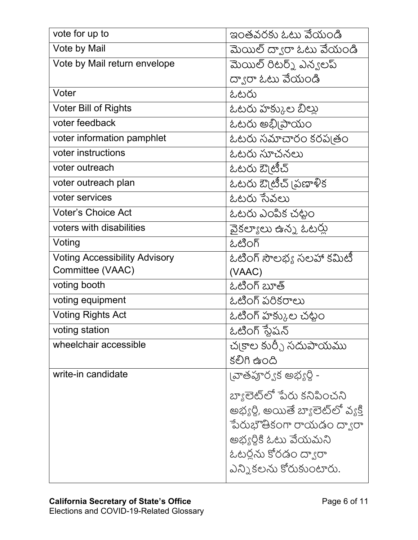| vote for up to                       | ఇంతవరకు ఓటు వేయండి                 |
|--------------------------------------|------------------------------------|
| Vote by Mail                         | మెయిల్ ద్వారా ఓటు వేయండి           |
| Vote by Mail return envelope         | మెయిల్ రిటర్న్ ఎన్యలప్             |
|                                      | ద్వారా ఓటు వేయండి                  |
| Voter                                | ఓటరు                               |
| <b>Voter Bill of Rights</b>          | ఓటరు హక్కుల బీల్లు                 |
| voter feedback                       | ఓటరు అభ్నిపాయం                     |
| voter information pamphlet           | ఓటరు సమాచారం కరప్పతం               |
| voter instructions                   | ఓటరు సూచనలు                        |
| voter outreach                       | ఓటరు ఔ్టెటీచ్                      |
| voter outreach plan                  | ఓటరు ఔటీచ్ స్రణాళిక                |
| voter services                       | ఓటరు సేవలు                         |
| <b>Voter's Choice Act</b>            | ఓటరు ఎంపిక చట్టం                   |
| voters with disabilities             | వైకల్యాలు ఉన్న ఓటర్లు              |
| Voting                               | ఓటింగ్                             |
| <b>Voting Accessibility Advisory</b> | ఓటింగ్ సౌలభ్య సలహా కమిటి           |
| Committee (VAAC)                     | (VAAC)                             |
| voting booth                         | ఓటింగ్ బూత్                        |
| voting equipment                     | ఓటింగ్ పరికరాలు                    |
| <b>Voting Rights Act</b>             | ఓటింగ్ హక్కుల చట్టం                |
| voting station                       | ఓటింగ్ స్టేషన్                     |
| wheelchair accessible                | చ్వకాల కుర్చీ సదుపాయము             |
|                                      | కలిగి ఉంది                         |
| write-in candidate                   | ౹వాతపూర్యక అభ్యర్థి <b>-</b>       |
|                                      | బ్యాలెట్లో పేరు కనిపించని          |
|                                      | అభ్యర్థి, అయితే బ్యాలెట్లో వ్యక్తి |
|                                      | ేపరుభౌతికంగా రాయడం ద్వారా          |
|                                      | అభ్యర్థికి ఓటు వేయమని              |
|                                      | ఓటర్లను కోరడం ద్వారా               |
|                                      | ఎన్నికలను కోరుకుంటారు.             |
|                                      |                                    |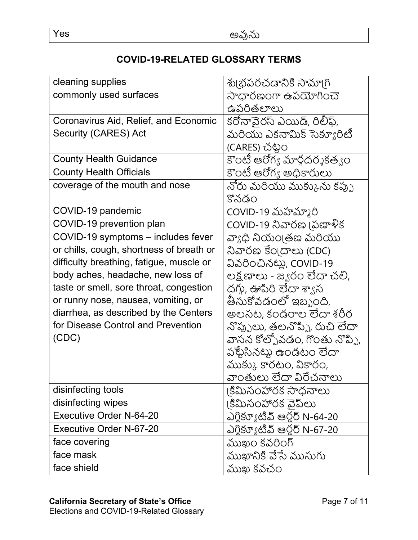## **COVID-19-RELATED GLOSSARY TERMS**

| cleaning supplies                        | శు౹భపరచడానికి సామా౹గి         |
|------------------------------------------|-------------------------------|
| commonly used surfaces                   | సాధారణంగా ఉపయోగించె           |
|                                          | ఉపరితలాలు                     |
| Coronavirus Aid, Relief, and Economic    | కరోనావైరస్ ఎయిడ్, రిలీఫ్,     |
| Security (CARES) Act                     | మరియు ఎకనామిక్ సెక్యూరిటీ     |
|                                          | (CARES) చట్టం                 |
| <b>County Health Guidance</b>            | కౌంటి ఆరోగ్య మార్గదర్శకత్వం   |
| <b>County Health Officials</b>           | కౌంటి ఆరోగ్య అధికారులు        |
| coverage of the mouth and nose           | నోరు మరియు ముక్కును కప్పు     |
|                                          | కొనడం                         |
| COVID-19 pandemic                        | COVID-19 మహమ్మారి             |
| COVID-19 prevention plan                 | COVID-19 నివారణ (పణాళీక       |
| COVID-19 symptoms - includes fever       | వ్యాధి నియం[తణ మరియు          |
| or chills, cough, shortness of breath or | నివారణ కేంబదాలు (CDC)         |
| difficulty breathing, fatigue, muscle or | వివరించినట్లు, COVID-19       |
| body aches, headache, new loss of        | లక్ష్మణాలు - జ్యరం లేదా చలి,  |
| taste or smell, sore throat, congestion  | దగ్గు, ఊపిరి లేదా శ్యాస       |
| or runny nose, nausea, vomiting, or      | తీసుకోవడంలో ఇబ్బంది,          |
| diarrhea, as described by the Centers    | అలసట, కండరాల లేదా శరీర        |
| for Disease Control and Prevention       | నొప్పులు, తలనొప్పి, రుచి లేదా |
| (CDC)                                    | వాసన కోల్పోవడం, గొంతు నొప్పి, |
|                                          | పళ్ళేసినట్టు ఉండటం లేదా       |
|                                          | ముక్కు కారటం, వికారం,         |
|                                          | వాంతులు లేదా విరేచనాలు        |
| disinfecting tools                       | కిమిసంహారక సాధనాలు            |
| disinfecting wipes                       | కిమిసంహారక వైప్లు             |
| <b>Executive Order N-64-20</b>           | ఎగ్జిక్యూటివ్ ఆర్గర్ N-64-20  |
| <b>Executive Order N-67-20</b>           | ఎగ్జిక్యూటివ్ ఆర్తర్ N-67-20  |
| face covering                            | ముఖం కవరింగ్                  |
| face mask                                | ముఖానికి వేసే ముసుగు          |
| face shield                              | ముఖ కవచం                      |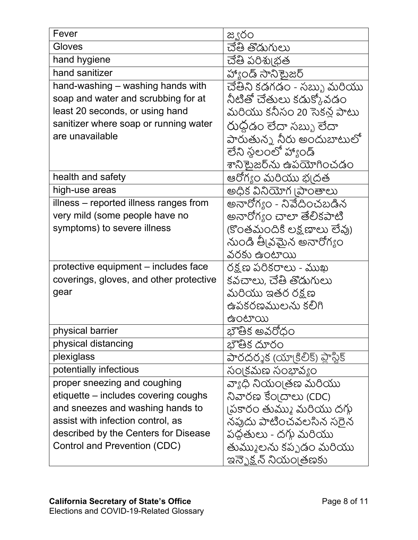| Fever                                   | జ్వరం                           |
|-----------------------------------------|---------------------------------|
| Gloves                                  | చేతి తొడుగులు                   |
| hand hygiene                            | చేతి పరిశుభ్తత                  |
| hand sanitizer                          | హ్యాండ్ సానిటైజర్               |
| hand-washing – washing hands with       | చేతిని కడగడం - సబ్బు మరియు      |
| soap and water and scrubbing for at     | నీటితో చేతులు కడుక్కోవడం        |
| least 20 seconds, or using hand         | మరియు కనీసం 20 సెకన్ల పాటు      |
| sanitizer where soap or running water   | రుధడం లేదా సబ్బు లేదా           |
| are unavailable                         | పారుతున్న నీరు అందుబాటులో       |
|                                         | లేని స్థలంలో హ్యాండ్            |
|                                         | శానికైుజర్ను ఉపయోగించడం         |
| health and safety                       | ఆరోగ్యం మరియు భ్రదత             |
| high-use areas                          | అధిక వినియోగ (పాంతాలు           |
| illness – reported illness ranges from  | అనారోగ్యం - నివేదించబడిన        |
| very mild (some people have no          | అనారోగ్యం చాలా తేలికపాటి        |
| symptoms) to severe illness             | (కొంతమందికి లక్ష్మణాలు లేవు)    |
|                                         | నుండి తీ వమైన అనారోగ్యం         |
|                                         | వరకు ఉంటాయి                     |
| protective equipment - includes face    | రక్షణ పరికరాలు - ముఖ            |
| coverings, gloves, and other protective | కవచాలు, చేతి తొడుగులు           |
| gear                                    | మరియు ఇతర రక్షణ                 |
|                                         | ఉపకరణములను కలిగి                |
|                                         | ఉంటాయి                          |
| physical barrier                        | భౌతిక అవరోధం                    |
| physical distancing                     | భౌతిక దూరం                      |
| plexiglass                              | పారదర్శక (యా!కిలీక్) ప్లాస్టిక్ |
| potentially infectious                  | సం(కమణ సంభావ్యం                 |
| proper sneezing and coughing            | వ్యాధి నియం[తణ మరియు            |
| etiquette – includes covering coughs    | నివారణ కేం(దాలు (CDC)           |
| and sneezes and washing hands to        | (పకారం తుమ్ము మరియు దగ్గు       |
| assist with infection control, as       | నపుదు పాటించవలసిన సరైన          |
| described by the Centers for Disease    | పధతులు - దగ్గు మరియు            |
| Control and Prevention (CDC)            | తుమ్ములను కప్పడం మరియు          |
|                                         | ఇన్ఫెక్షన్ నియం[తణకు            |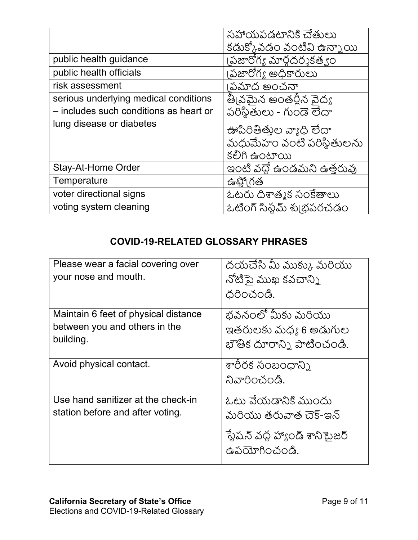|                                        | సహాయపడటానికి చేతులు        |
|----------------------------------------|----------------------------|
|                                        | కడుక్కోవడం వంటివి ఉన్నాయి  |
| public health guidance                 | ౹పజారోగ్య మార్గదర్శకత్వం   |
| public health officials                | ౹పజారోగః అధికారులు         |
| risk assessment                        | పమాద అంచనా                 |
| serious underlying medical conditions  | తీ్నమైన అంతర్లీన వైద్య     |
| - includes such conditions as heart or | పరిస్థితులు - గుండె లేదా   |
| lung disease or diabetes               | ఊపిరితీతుల వ్యాధి లేదా     |
|                                        | మధుమేహం వంటి పరిస్థితులను  |
|                                        | కలిగి ఉంటాయి               |
| Stay-At-Home Order                     | ఇంటి వధ్దే ఉండమని ఉత్తరువు |
| Temperature                            | ఉష్ఖో(గత                   |
| voter directional signs                | ఓటరు దిశాత్మక సంకేతాలు     |
| voting system cleaning                 | ఓటింగ్ సిస్టమ్ శుబ్రపరచడం  |

## **COVID-19-RELATED GLOSSARY PHRASES**

| Please wear a facial covering over<br>your nose and mouth.                         | దయచేసి మీ ముక్కు మరియు<br>నోటిపై ముఖ కవచాన్ని<br>ధరించండి.              |
|------------------------------------------------------------------------------------|-------------------------------------------------------------------------|
| Maintain 6 feet of physical distance<br>between you and others in the<br>building. | భవనంలో మీకు మరియు<br>ఇతరులకు మధ్య 6 అడుగుల<br>భౌతిక దూరాన్ని పాటించండి. |
| Avoid physical contact.                                                            | శారీరక సంబంధాన్ని<br>నివారించండి.                                       |
| Use hand sanitizer at the check-in<br>station before and after voting.             | ఓటు వేయడానికి ముందు<br>మరియు తరువాత చెక్-ఇన్                            |
|                                                                                    | ేష్టేషన్ వద్ద హ్యాండ్ శాని టైజర్<br>ఉపయోగించండి.                        |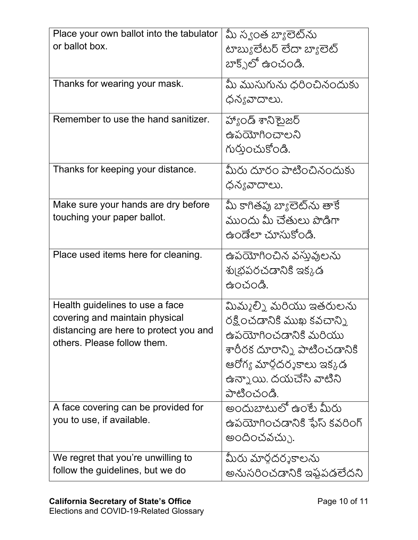| Place your own ballot into the tabulator | మీ స్వంత బ్యాలెట్ను          |
|------------------------------------------|------------------------------|
| or ballot box.                           | టాబ్యులేటర్ లేదా బ్యాలెట్    |
|                                          | బాక్స్ట్ ఉంచండి.             |
|                                          |                              |
| Thanks for wearing your mask.            | మీ ముసుగును ధరించినందుకు     |
|                                          | ధన్యవాదాలు.                  |
|                                          |                              |
| Remember to use the hand sanitizer.      | హ్యాండ్ శానిటైజర్            |
|                                          | ఉపయోగించాలని                 |
|                                          | గుర్తుంచుకోండి.              |
|                                          |                              |
| Thanks for keeping your distance.        | మీరు దూరం పాటించినందుకు      |
|                                          | ధన్యవాదాలు.                  |
|                                          |                              |
| Make sure your hands are dry before      | మీ కాగితపు బ్యాలెట్ను తాకే   |
| touching your paper ballot.              | ముందు మీ చేతులు పొడిగా       |
|                                          | ఉండేలా చూసుకోండి.            |
|                                          |                              |
| Place used items here for cleaning.      | ఉపయోగించిన వస్తువులను        |
|                                          | శు౹భపరచడానికి ఇక్కడ          |
|                                          | ఉంచండి.                      |
|                                          |                              |
| Health guidelines to use a face          | మిమ్మల్ని మరియు ఇతరులను      |
| covering and maintain physical           | రక్షించడానికి ముఖ కవచాన్ని   |
| distancing are here to protect you and   | ఉపయోగించడానికి మరియు         |
| others. Please follow them.              | శారీరక దూరాన్ని పాటించడానికి |
|                                          |                              |
|                                          | ఆరోగ్య మార్గదర్శకాలు ఇక్కడ   |
|                                          | ఉన్నాయి. దయచేసి వాటిని       |
|                                          | పాటించండి.                   |
| A face covering can be provided for      | అందుబాటులో ఉంటే మీరు         |
| you to use, if available.                | ఉపయోగించడానికి ఫేస్ కవరింగ్  |
|                                          |                              |
|                                          | అందించవచ్చు                  |
| We regret that you're unwilling to       | మీరు మార్గదర్శకాలను          |
| follow the guidelines, but we do         | అనుసరించడానికి ఇష్టపడలేదని   |
|                                          |                              |